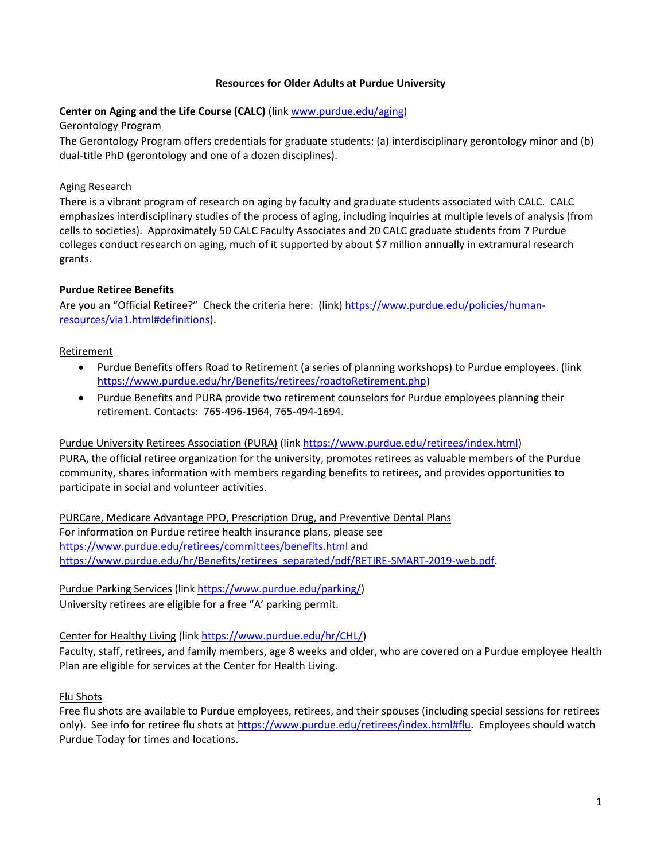#### **Resources for Older Adults at Purdue University**

#### **Center on Aging and the Life Course (CALC)** (link [www.purdue.edu/aging\)](http://www.purdue.edu/aging)

#### Gerontology Program

The Gerontology Program offers credentials for graduate students: (a) interdisciplinary gerontology minor and (b) dual-title PhD (gerontology and one of a dozen disciplines).

### Aging Research

There is a vibrant program of research on aging by faculty and graduate students associated with CALC. CALC emphasizes interdisciplinary studies of the process of aging, including inquiries at multiple levels of analysis (from cells to societies). Approximately 50 CALC Faculty Associates and 20 CALC graduate students from 7 Purdue colleges conduct research on aging, much of it supported by about \$7 million annually in extramural research grants.

### **Purdue Retiree Benefits**

Are you an "Official Retiree?" Check the criteria here: (link) [https://www.purdue.edu/policies/human](https://www.purdue.edu/policies/human-resources/via1.html#definitions)[resources/via1.html#definitions\)](https://www.purdue.edu/policies/human-resources/via1.html#definitions).

### Retirement

- Purdue Benefits offers Road to Retirement (a series of planning workshops) to Purdue employees. (link [https://www.purdue.edu/hr/Benefits/retirees/roadtoRetirement.php\)](https://www.purdue.edu/hr/Benefits/retirees/roadtoRetirement.php)
- Purdue Benefits and PURA provide two retirement counselors for Purdue employees planning their retirement. Contacts: 765-496-1964, 765-494-1694.

### Purdue University Retirees Association (PURA) (lin[k https://www.purdue.edu/retirees/index.html\)](https://www.purdue.edu/retirees/index.html)

PURA, the official retiree organization for the university, promotes retirees as valuable members of the Purdue community, shares information with members regarding benefits to retirees, and provides opportunities to participate in social and volunteer activities.

PURCare, Medicare Advantage PPO, Prescription Drug, and Preventive Dental Plans For information on Purdue retiree health insurance plans, please see <https://www.purdue.edu/retirees/committees/benefits.html> and [https://www.purdue.edu/hr/Benefits/retirees\\_separated/pdf/RETIRE-SMART-2019-web.pdf.](https://www.purdue.edu/hr/Benefits/retirees_separated/pdf/RETIRE-SMART-2019-web.pdf)

Purdue Parking Services (link [https://www.purdue.edu/parking/\)](https://www.purdue.edu/parking/) University retirees are eligible for a free "A' parking permit.

### Center for Healthy Living (link [https://www.purdue.edu/hr/CHL/\)](https://www.purdue.edu/hr/CHL/)

Faculty, staff, retirees, and family members, age 8 weeks and older, who are covered on a Purdue employee Health Plan are eligible for services at the Center for Health Living.

### Flu Shots

Free flu shots are available to Purdue employees, retirees, and their spouses (including special sessions for retirees only). See info for retiree flu shots at [https://www.purdue.edu/retirees/index.html#flu.](https://www.purdue.edu/retirees/index.html#flu) Employees should watch Purdue Today for times and locations.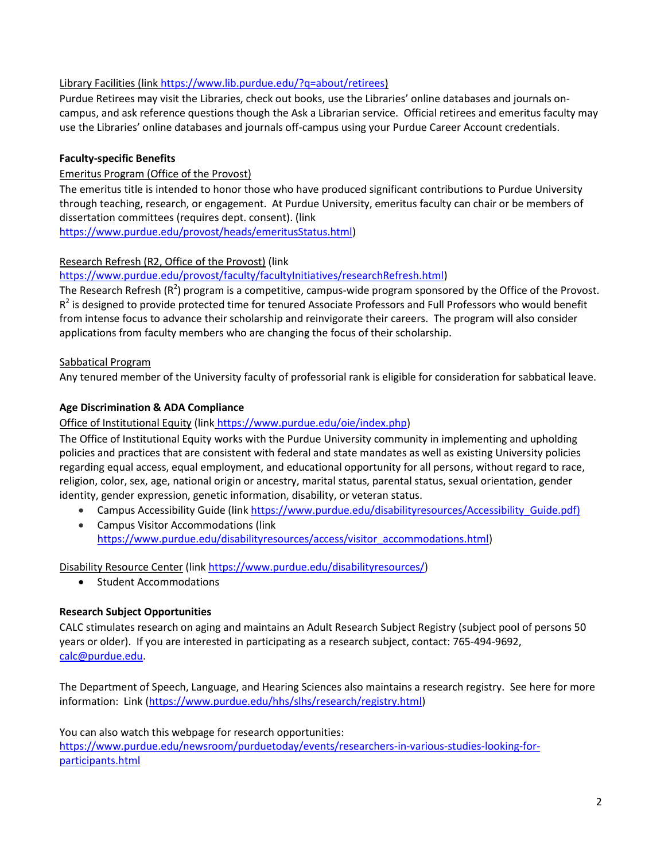# Library Facilities (lin[k https://www.lib.purdue.edu/?q=about/retirees\)](https://www.lib.purdue.edu/?q=about/retirees)

Purdue Retirees may visit the Libraries, check out books, use the Libraries' online databases and journals oncampus, and ask reference questions though the Ask a Librarian service. Official retirees and emeritus faculty may use the Libraries' online databases and journals off-campus using your Purdue Career Account credentials.

### **Faculty-specific Benefits**

### Emeritus Program (Office of the Provost)

The emeritus title is intended to honor those who have produced significant contributions to Purdue University through teaching, research, or engagement. At Purdue University, emeritus faculty can chair or be members of dissertation committees (requires dept. consent). (link

[https://www.purdue.edu/provost/heads/emeritusStatus.html\)](https://www.purdue.edu/provost/heads/emeritusStatus.html)

### Research Refresh (R2, Office of the Provost) (link

[https://www.purdue.edu/provost/faculty/facultyInitiatives/researchRefresh.html\)](https://www.purdue.edu/provost/faculty/facultyInitiatives/researchRefresh.html)

The Research Refresh ( $R^2$ ) program is a competitive, campus-wide program sponsored by the Office of the Provost.  $R^2$  is designed to provide protected time for tenured Associate Professors and Full Professors who would benefit from intense focus to advance their scholarship and reinvigorate their careers. The program will also consider applications from faculty members who are changing the focus of their scholarship.

### Sabbatical Program

Any tenured member of the University faculty of professorial rank is eligible for consideration for sabbatical leave.

# **Age Discrimination & ADA Compliance**

### Office of Institutional Equity (link [https://www.purdue.edu/oie/index.php\)](https://www.purdue.edu/oie/index.php)

The Office of Institutional Equity works with the Purdue University community in implementing and upholding policies and practices that are consistent with federal and state mandates as well as existing University policies regarding equal access, equal employment, and educational opportunity for all persons, without regard to race, religion, color, sex, age, national origin or ancestry, marital status, parental status, sexual orientation, gender identity, gender expression, genetic information, disability, or veteran status.

- Campus Accessibility Guide (link https://www.purdue.edu/disabilityresources/Accessibility Guide.pdf)
- Campus Visitor Accommodations (link [https://www.purdue.edu/disabilityresources/access/visitor\\_accommodations.html\)](https://www.purdue.edu/disabilityresources/access/visitor_accommodations.html)

Disability Resource Center (link [https://www.purdue.edu/disabilityresources/\)](https://www.purdue.edu/disabilityresources/)

• Student Accommodations

### **Research Subject Opportunities**

CALC stimulates research on aging and maintains an Adult Research Subject Registry (subject pool of persons 50 years or older). If you are interested in participating as a research subject, contact: 765-494-9692, [calc@purdue.edu.](mailto:calc@purdue.edu)

The Department of Speech, Language, and Hearing Sciences also maintains a research registry. See here for more information: Link [\(https://www.purdue.edu/hhs/slhs/research/registry.html\)](https://www.purdue.edu/hhs/slhs/research/registry.html)

You can also watch this webpage for research opportunities: [https://www.purdue.edu/newsroom/purduetoday/events/researchers-in-various-studies-looking-for](https://www.purdue.edu/newsroom/purduetoday/events/researchers-in-various-studies-looking-for-participants.html)[participants.html](https://www.purdue.edu/newsroom/purduetoday/events/researchers-in-various-studies-looking-for-participants.html)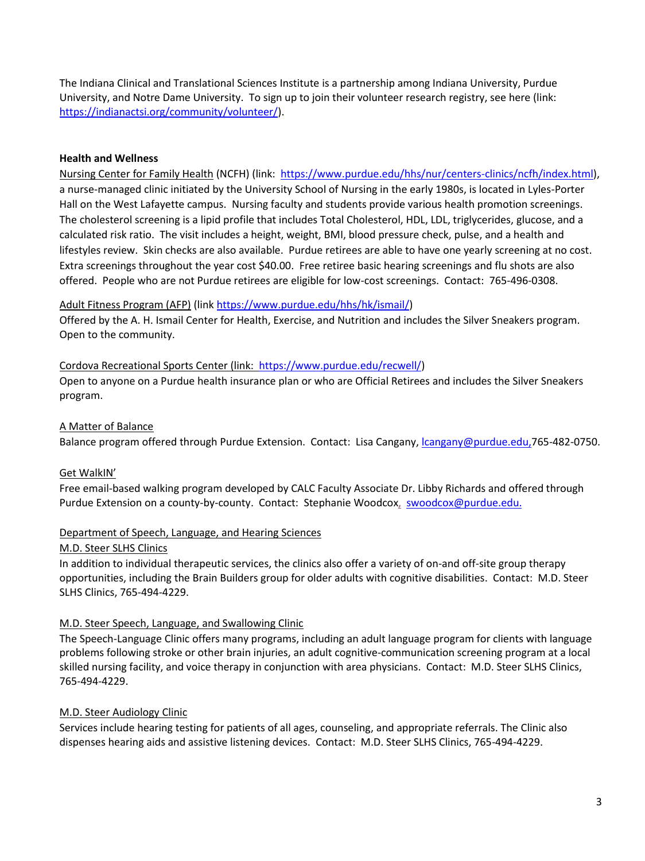The Indiana Clinical and Translational Sciences Institute is a partnership among Indiana University, Purdue University, and Notre Dame University. To sign up to join their volunteer research registry, see here (link: [https://indianactsi.org/community/volunteer/\)](https://indianactsi.org/community/volunteer/).

### **Health and Wellness**

Nursing Center for Family Health (NCFH) (link: [https://www.purdue.edu/hhs/nur/centers-clinics/ncfh/index.html\)](https://www.purdue.edu/hhs/nur/centers-clinics/ncfh/index.html), a nurse-managed clinic initiated by the University School of Nursing in the early 1980s, is located in Lyles-Porter Hall on the West Lafayette campus. Nursing faculty and students provide various health promotion screenings. The cholesterol screening is a lipid profile that includes Total Cholesterol, HDL, LDL, triglycerides, glucose, and a calculated risk ratio. The visit includes a height, weight, BMI, blood pressure check, pulse, and a health and lifestyles review. Skin checks are also available. Purdue retirees are able to have one yearly screening at no cost. Extra screenings throughout the year cost \$40.00. Free retiree basic hearing screenings and flu shots are also offered. People who are not Purdue retirees are eligible for low-cost screenings. Contact: 765-496-0308.

# Adult Fitness Program (AFP) (lin[k https://www.purdue.edu/hhs/hk/ismail/\)](https://www.purdue.edu/hhs/hk/ismail/)

Offered by the A. H. Ismail Center for Health, Exercise, and Nutrition and includes the Silver Sneakers program. Open to the community.

### Cordova Recreational Sports Center (link: [https://www.purdue.edu/recwell/\)](https://www.purdue.edu/recwell/)

Open to anyone on a Purdue health insurance plan or who are Official Retirees and includes the Silver Sneakers program.

### A Matter of Balance

Balance program offered through Purdue Extension.Contact: Lisa Cangany, [lcangany@purdue.edu,765-482-0750.](mailto:lcangany@purdue.edu,765-482-0750)

### Get WalkIN'

Free email-based walking program developed by CALC Faculty Associate Dr. Libby Richards and offered through Purdue Extension on a county-by-county. Contact: Stephanie Woodcox, [swoodcox@purdue.edu.](mailto:swoodcox@purdue.edu)

### Department of Speech, Language, and Hearing Sciences

### M.D. Steer SLHS Clinics

In addition to individual therapeutic services, the clinics also offer a variety of on-and off-site group therapy opportunities, including the Brain Builders group for older adults with cognitive disabilities. Contact: M.D. Steer SLHS Clinics, 765-494-4229.

### M.D. Steer Speech, Language, and Swallowing Clinic

The Speech-Language Clinic offers many programs, including an adult language program for clients with language problems following stroke or other brain injuries, an adult cognitive-communication screening program at a local skilled nursing facility, and voice therapy in conjunction with area physicians. Contact: M.D. Steer SLHS Clinics, 765-494-4229.

### M.D. Steer Audiology Clinic

Services include hearing testing for patients of all ages, counseling, and appropriate referrals. The Clinic also dispenses hearing aids and assistive listening devices. Contact: M.D. Steer SLHS Clinics, 765-494-4229.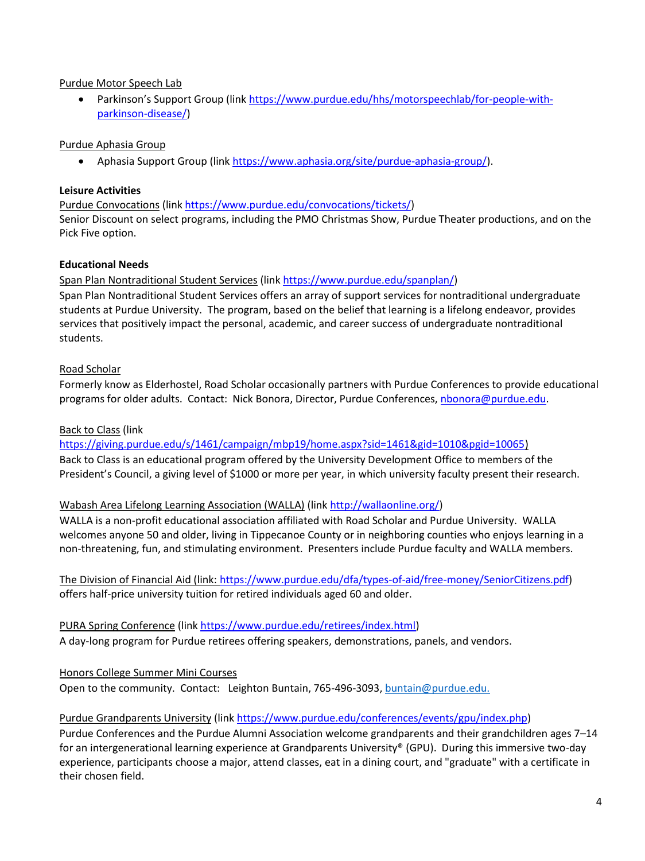# Purdue Motor Speech Lab

 Parkinson's Support Group (link [https://www.purdue.edu/hhs/motorspeechlab/for-people-with](https://www.purdue.edu/hhs/motorspeechlab/for-people-with-parkinson-disease/)[parkinson-disease/\)](https://www.purdue.edu/hhs/motorspeechlab/for-people-with-parkinson-disease/)

# Purdue Aphasia Group

• Aphasia Support Group (lin[k https://www.aphasia.org/site/purdue-aphasia-group/\)](https://www.aphasia.org/site/purdue-aphasia-group/).

### **Leisure Activities**

Purdue Convocations (lin[k https://www.purdue.edu/convocations/tickets/\)](https://www.purdue.edu/convocations/tickets/)

Senior Discount on select programs, including the PMO Christmas Show, Purdue Theater productions, and on the Pick Five option.

# **Educational Needs**

### Span Plan Nontraditional Student Services (lin[k https://www.purdue.edu/spanplan/\)](https://www.purdue.edu/spanplan/)

Span Plan Nontraditional Student Services offers an array of support services for nontraditional undergraduate students at Purdue University. The program, based on the belief that learning is a lifelong endeavor, provides services that positively impact the personal, academic, and career success of undergraduate nontraditional students.

# Road Scholar

Formerly know as Elderhostel, Road Scholar occasionally partners with Purdue Conferences to provide educational programs for older adults. Contact: Nick Bonora, Director, Purdue Conferences, [nbonora@purdue.edu.](mailto:nbonora@purdue.edu)

### Back to Class (link

[https://giving.purdue.edu/s/1461/campaign/mbp19/home.aspx?sid=1461&gid=1010&pgid=10065\)](https://giving.purdue.edu/s/1461/campaign/mbp19/home.aspx?sid=1461&gid=1010&pgid=10065)

Back to Class is an educational program offered by the University Development Office to members of the President's Council, a giving level of \$1000 or more per year, in which university faculty present their research.

### Wabash Area Lifelong Learning Association (WALLA) (link [http://wallaonline.org/\)](http://wallaonline.org/)

WALLA is a non-profit educational association affiliated with Road Scholar and Purdue University. WALLA welcomes anyone 50 and older, living in Tippecanoe County or in neighboring counties who enjoys learning in a non-threatening, fun, and stimulating environment. Presenters include Purdue faculty and WALLA members.

The Division of Financial Aid (link: [https://www.purdue.edu/dfa/types-of-aid/free-money/SeniorCitizens.pdf\)](https://www.purdue.edu/dfa/types-of-aid/free-money/SeniorCitizens.pdf) offers half-price university tuition for retired individuals aged 60 and older.

PURA Spring Conference (link [https://www.purdue.edu/retirees/index.html\)](https://www.purdue.edu/retirees/index.html) A day-long program for Purdue retirees offering speakers, demonstrations, panels, and vendors.

### Honors College Summer Mini Courses

Open to the community. Contact: Leighton Buntain, 765-496-3093, [buntain@purdue.edu.](mailto:buntain@purdue.edu)

### Purdue Grandparents University (lin[k https://www.purdue.edu/conferences/events/gpu/index.php\)](https://www.purdue.edu/conferences/events/gpu/index.php)

Purdue Conferences and the Purdue Alumni Association welcome grandparents and their grandchildren ages 7–14 for an intergenerational learning experience at Grandparents University® (GPU). During this immersive two-day experience, participants choose a major, attend classes, eat in a dining court, and "graduate" with a certificate in their chosen field.